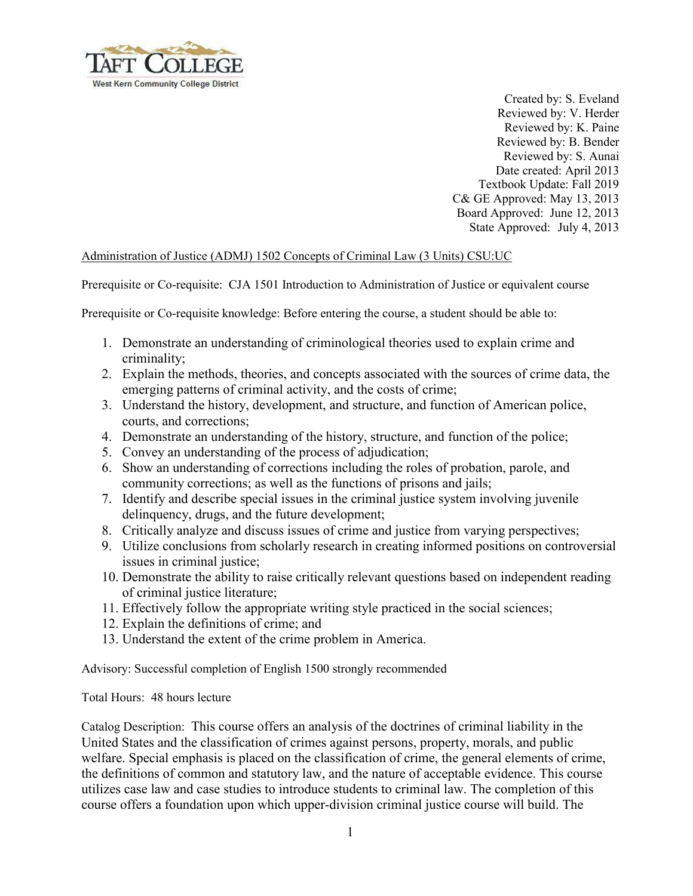

Created by: S. Eveland Reviewed by: V. Herder Reviewed by: K. Paine Reviewed by: B. Bender Reviewed by: S. Aunai Date created: April 2013 Textbook Update: Fall 2019 C& GE Approved: May 13, 2013 Board Approved: June 12, 2013 State Approved: July 4, 2013

## Administration of Justice (ADMJ) 1502 Concepts of Criminal Law (3 Units) CSU:UC

Prerequisite or Co-requisite: CJA 1501 Introduction to Administration of Justice or equivalent course

Prerequisite or Co-requisite knowledge: Before entering the course, a student should be able to:

- 1. Demonstrate an understanding of criminological theories used to explain crime and criminality;
- 2. Explain the methods, theories, and concepts associated with the sources of crime data, the emerging patterns of criminal activity, and the costs of crime;
- 3. Understand the history, development, and structure, and function of American police, courts, and corrections;
- 4. Demonstrate an understanding of the history, structure, and function of the police;
- 5. Convey an understanding of the process of adjudication;
- 6. Show an understanding of corrections including the roles of probation, parole, and community corrections; as well as the functions of prisons and jails;
- 7. Identify and describe special issues in the criminal justice system involving juvenile delinquency, drugs, and the future development;
- 8. Critically analyze and discuss issues of crime and justice from varying perspectives;
- 9. Utilize conclusions from scholarly research in creating informed positions on controversial issues in criminal justice:
- 10. Demonstrate the ability to raise critically relevant questions based on independent reading of criminal justice literature;
- 11. Effectively follow the appropriate writing style practiced in the social sciences;
- 12. Explain the definitions of crime; and
- 13. Understand the extent of the crime problem in America.

Advisory: Successful completion of English 1500 strongly recommended

Total Hours: 48 hours lecture

Catalog Description: This course offers an analysis of the doctrines of criminal liability in the United States and the classification of crimes against persons, property, morals, and public welfare. Special emphasis is placed on the classification of crime, the general elements of crime, the definitions of common and statutory law, and the nature of acceptable evidence. This course utilizes case law and case studies to introduce students to criminal law. The completion of this course offers a foundation upon which upper-division criminal justice course will build. The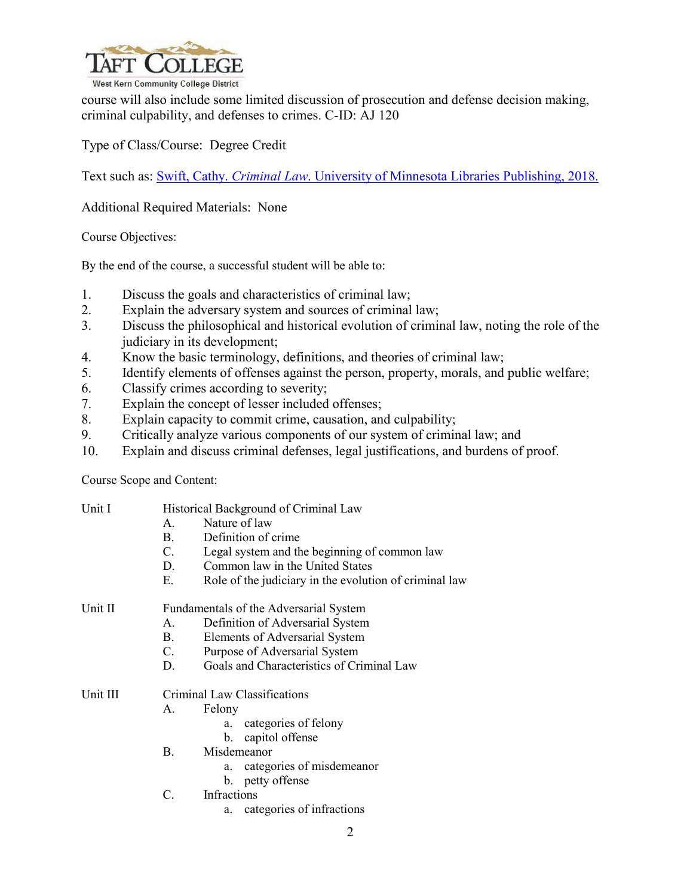

course will also include some limited discussion of prosecution and defense decision making, criminal culpability, and defenses to crimes. C-ID: AJ 120

Type of Class/Course: Degree Credit

Text such as: Swift, Cathy. *Criminal Law*[. University of Minnesota Libraries Publishing, 2018.](file://ct-prod-fs/Course/Course%20Outlines%20of%20Record/A/Adminstration%20of%20Justice/ADMJ%201502/Effective%20Fall%202015-%20UC%20Approved/Swift,%20Cathy.%20Criminal%20Law.%20University%20of%20Minnesota%20Libraries%20Publishing,%202018.)

Additional Required Materials: None

Course Objectives:

By the end of the course, a successful student will be able to:

- 1. Discuss the goals and characteristics of criminal law;
- 2. Explain the adversary system and sources of criminal law;
- 3. Discuss the philosophical and historical evolution of criminal law, noting the role of the judiciary in its development;
- 4. Know the basic terminology, definitions, and theories of criminal law;
- 5. Identify elements of offenses against the person, property, morals, and public welfare;
- 6. Classify crimes according to severity;
- 7. Explain the concept of lesser included offenses;
- 8. Explain capacity to commit crime, causation, and culpability;
- 9. Critically analyze various components of our system of criminal law; and
- 10. Explain and discuss criminal defenses, legal justifications, and burdens of proof.

Course Scope and Content:

Unit I Historical Background of Criminal Law A. Nature of law B. Definition of crime C. Legal system and the beginning of common law D. Common law in the United States E. Role of the judiciary in the evolution of criminal law Unit II Fundamentals of the Adversarial System A. Definition of Adversarial System B. Elements of Adversarial System C. Purpose of Adversarial System D. Goals and Characteristics of Criminal Law Unit III Criminal Law Classifications A. Felony a. categories of felony b. capitol offense B. Misdemeanor a. categories of misdemeanor b. petty offense C. Infractions a. categories of infractions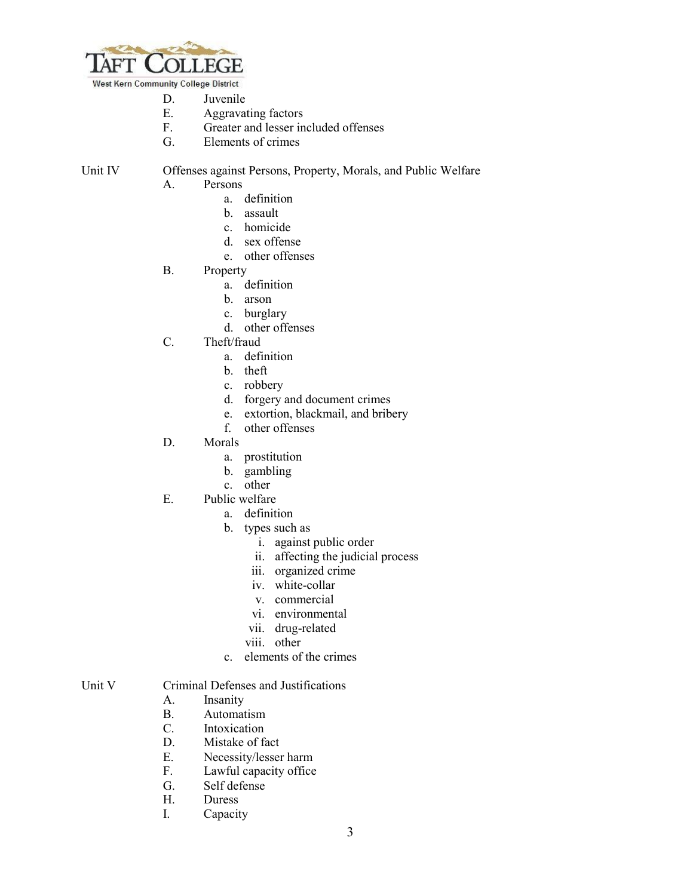

West Kern Community College District

- D. Juvenile<br>E. Aggrava
- Aggravating factors
- F. Greater and lesser included offenses
- G. Elements of crimes

Unit IV Offenses against Persons, Property, Morals, and Public Welfare

- A. Persons
	- a. definition
	- b. assault
	- c. homicide
	- d. sex offense
	- e. other offenses
- B. Property
	- a. definition
	- b. arson
	- c. burglary
	- d. other offenses
- C. Theft/fraud
	- a. definition
	- b. theft
	- c. robbery
	- d. forgery and document crimes
	- e. extortion, blackmail, and bribery
	- f. other offenses
- D. Morals
	- a. prostitution
	- b. gambling
	- c. other
- E. Public welfare
	- a. definition
	- b. types such as
		- i. against public order
		- ii. affecting the judicial process
		- iii. organized crime
		- iv. white-collar
		- v. commercial
		- vi. environmental
		- vii. drug-related
		- viii. other
	- c. elements of the crimes

## Unit V Criminal Defenses and Justifications

- A. Insanity
- B. Automatism<br>C. Intoxication
- Intoxication
- D. Mistake of fact
- E. Necessity/lesser harm
- F. Lawful capacity office
- G. Self defense<br>H. Duress
- Duress
- I. Capacity